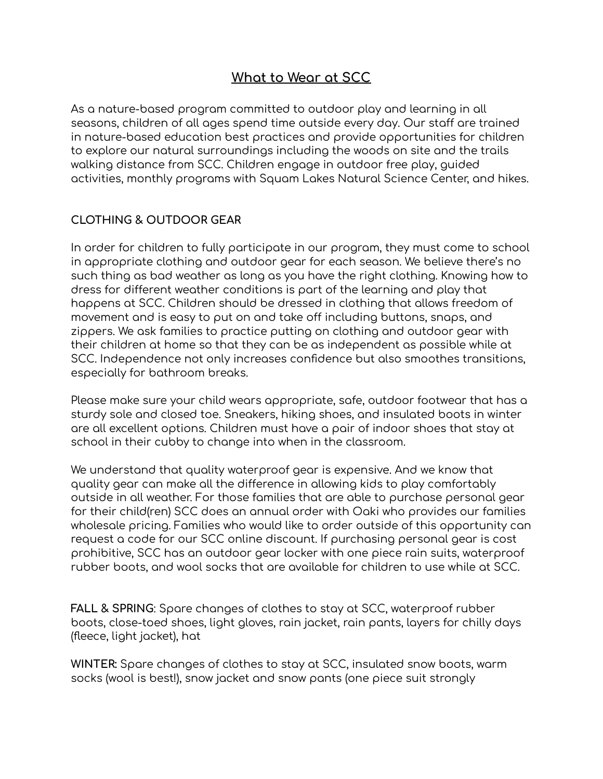## **What to Wear at SCC**

As a nature-based program committed to outdoor play and learning in all seasons, children of all ages spend time outside every day. Our staff are trained in nature-based education best practices and provide opportunities for children to explore our natural surroundings including the woods on site and the trails walking distance from SCC. Children engage in outdoor free play, guided activities, monthly programs with Squam Lakes Natural Science Center, and hikes.

## **CLOTHING & OUTDOOR GEAR**

In order for children to fully participate in our program, they must come to school in appropriate clothing and outdoor gear for each season. We believe there's no such thing as bad weather as long as you have the right clothing. Knowing how to dress for different weather conditions is part of the learning and play that happens at SCC. Children should be dressed in clothing that allows freedom of movement and is easy to put on and take off including buttons, snaps, and zippers. We ask families to practice putting on clothing and outdoor gear with their children at home so that they can be as independent as possible while at SCC. Independence not only increases confidence but also smoothes transitions, especially for bathroom breaks.

Please make sure your child wears appropriate, safe, outdoor footwear that has a sturdy sole and closed toe. Sneakers, hiking shoes, and insulated boots in winter are all excellent options. Children must have a pair of indoor shoes that stay at school in their cubby to change into when in the classroom.

We understand that quality waterproof gear is expensive. And we know that quality gear can make all the difference in allowing kids to play comfortably outside in all weather. For those families that are able to purchase personal gear for their child(ren) SCC does an annual order with Oaki who provides our families wholesale pricing. Families who would like to order outside of this opportunity can request a code for our SCC online discount. If purchasing personal gear is cost prohibitive, SCC has an outdoor gear locker with one piece rain suits, waterproof rubber boots, and wool socks that are available for children to use while at SCC.

**FALL & SPRING**: Spare changes of clothes to stay at SCC, waterproof rubber boots, close-toed shoes, light gloves, rain jacket, rain pants, layers for chilly days (fleece, light jacket), hat

**WINTER:** Spare changes of clothes to stay at SCC, insulated snow boots, warm socks (wool is best!), snow jacket and snow pants (one piece suit strongly